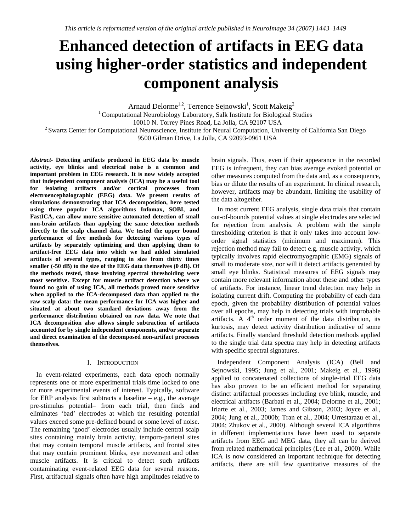# **Enhanced detection of artifacts in EEG data using higher-order statistics and independent component analysis**

Arnaud Delorme<sup>1,2</sup>, Terrence Sejnowski<sup>1</sup>, Scott Makeig<sup>2</sup> <sup>1</sup> Computational Neurobiology Laboratory, Salk Institute for Biological Studies 10010 N. Torrey Pines Road, La Jolla, CA 92107 USA<br><sup>2</sup> Swartz Center for Computational Neuroscience, Institute for Neural Computation, University of California San Diego 9500 Gilman Drive, La Jolla, CA 92093-0961 USA

*Abstract-* **Detecting artifacts produced in EEG data by muscle activity, eye blinks and electrical noise is a common and important problem in EEG research. It is now widely accepted that independent component analysis (ICA) may be a useful tool for isolating artifacts and/or cortical processes from electroencephalographic (EEG) data. We present results of simulations demonstrating that ICA decomposition, here tested using three popular ICA algorithms Infomax, SOBI, and FastICA, can allow more sensitive automated detection of small non-brain artifacts than applying the same detection methods directly to the scalp channel data. We tested the upper bound performance of five methods for detecting various types of artifacts by separately optimizing and then applying them to artifact-free EEG data into which we had added simulated artifacts of several types, ranging in size from thirty times smaller (-50 dB) to the size of the EEG data themselves (0 dB). Of the methods tested, those involving spectral thresholding were most sensitive. Except for muscle artifact detection where we found no gain of using ICA, all methods proved more sensitive when applied to the ICA-decomposed data than applied to the raw scalp data: the mean performance for ICA was higher and situated at about two standard deviations away from the performance distribution obtained on raw data. We note that ICA decomposition also allows simple subtraction of artifacts accounted for by single independent components, and/or separate and direct examination of the decomposed non-artifact processes themselves.** 

#### I. INTRODUCTION

 In event-related experiments, each data epoch normally represents one or more experimental trials time locked to one or more experimental events of interest. Typically, software for ERP analysis first subtracts a baseline – e.g., the average pre-stimulus potential– from each trial, then finds and eliminates 'bad' electrodes at which the resulting potential values exceed some pre-defined bound or some level of noise. The remaining 'good' electrodes usually include central scalp sites containing mainly brain activity, temporo-parietal sites that may contain temporal muscle artifacts, and frontal sites that may contain prominent blinks, eye movement and other muscle artifacts. It is critical to detect such artifacts contaminating event-related EEG data for several reasons. First, artifactual signals often have high amplitudes relative to

brain signals. Thus, even if their appearance in the recorded EEG is infrequent, they can bias average evoked potential or other measures computed from the data and, as a consequence, bias or dilute the results of an experiment. In clinical research, however, artifacts may be abundant, limiting the usability of the data altogether.

 In most current EEG analysis, single data trials that contain out-of-bounds potential values at single electrodes are selected for rejection from analysis. A problem with the simple thresholding criterion is that it only takes into account loworder signal statistics (minimum and maximum). This rejection method may fail to detect e.g. muscle activity, which typically involves rapid electromyographic (EMG) signals of small to moderate size, nor will it detect artifacts generated by small eye blinks. Statistical measures of EEG signals may contain more relevant information about these and other types of artifacts. For instance, linear trend detection may help in isolating current drift. Computing the probability of each data epoch, given the probability distribution of potential values over all epochs, may help in detecting trials with improbable artifacts. A  $4<sup>th</sup>$  order moment of the data distribution, its kurtosis, may detect activity distribution indicative of some artifacts. Finally standard threshold detection methods applied to the single trial data spectra may help in detecting artifacts with specific spectral signatures.

 Independent Component Analysis (ICA) (Bell and Sejnowski, 1995; Jung et al., 2001; Makeig et al., 1996) applied to concatenated collections of single-trial EEG data has also proven to be an efficient method for separating distinct artifactual processes including eye blink, muscle, and electrical artifacts (Barbati et al., 2004; Delorme et al., 2001; Iriarte et al., 2003; James and Gibson, 2003; Joyce et al., 2004; Jung et al., 2000b; Tran et al., 2004; Urrestarazu et al., 2004; Zhukov et al., 2000). Although several ICA algorithms in different implementations have been used to separate artifacts from EEG and MEG data, they all can be derived from related mathematical principles (Lee et al., 2000). While ICA is now considered an important technique for detecting artifacts, there are still few quantitative measures of the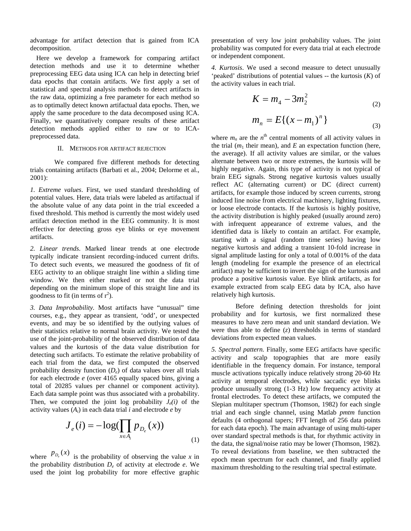advantage for artifact detection that is gained from ICA decomposition.

 Here we develop a framework for comparing artifact detection methods and use it to determine whether preprocessing EEG data using ICA can help in detecting brief data epochs that contain artifacts. We first apply a set of statistical and spectral analysis methods to detect artifacts in the raw data, optimizing a free parameter for each method so as to optimally detect known artifactual data epochs. Then, we apply the same procedure to the data decomposed using ICA. Finally, we quantitatively compare results of these artifact detection methods applied either to raw or to ICApreprocessed data.

# II. METHODS FOR ARTIFACT REJECTION

 We compared five different methods for detecting trials containing artifacts (Barbati et al., 2004; Delorme et al., 2001):

*1. Extreme values*. First, we used standard thresholding of potential values. Here, data trials were labeled as artifactual if the absolute value of any data point in the trial exceeded a fixed threshold. This method is currently the most widely used artifact detection method in the EEG community. It is most effective for detecting gross eye blinks or eye movement artifacts.

*2. Linear trends*. Marked linear trends at one electrode typically indicate transient recording-induced current drifts. To detect such events, we measured the goodness of fit of EEG activity to an oblique straight line within a sliding time window. We then either marked or not the data trial depending on the minimum slope of this straight line and its goodness to fit (in terms of  $r^2$ ).

*3. Data Improbability.* Most artifacts have "unusual" time courses, e.g., they appear as transient, 'odd', or unexpected events, and may be so identified by the outlying values of their statistics relative to normal brain activity. We tested the use of the joint-probability of the observed distribution of data values and the kurtosis of the data value distribution for detecting such artifacts. To estimate the relative probability of each trial from the data, we first computed the observed probability density function (*De*) of data values over all trials for each electrode *e* (over 4165 equally spaced bins, giving a total of 20285 values per channel or component activity). Each data sample point was thus associated with a probability. Then, we computed the joint log probability  $J_e(i)$  of the activity values  $(A_i)$  in each data trial *i* and electrode *e* by

$$
J_e(i) = -\log(\prod_{x \in A_i} p_{D_e}(x))
$$
\n(1)

where  $P_{D_e}(x)$  is the probability of observing the value *x* in the probability distribution  $D_e$  of activity at electrode  $e$ . We used the joint log probability for more effective graphic

presentation of very low joint probability values. The joint probability was computed for every data trial at each electrode or independent component.

*4. Kurtosis*. We used a second measure to detect unusually 'peaked' distributions of potential values -- the kurtosis (*K*) of the activity values in each trial.

$$
K = m_4 - 3m_2^2 \tag{2}
$$

$$
m_n = E\{(x - m_1)^n\}
$$
 (3)

where  $m_n$  are the  $n^{\text{th}}$  central moments of all activity values in the trial  $(m_1$  their mean), and  $E$  an expectation function (here, the average). If all activity values are similar, or the values alternate between two or more extremes, the kurtosis will be highly negative. Again, this type of activity is not typical of brain EEG signals. Strong negative kurtosis values usually reflect AC (alternating current) or DC (direct current) artifacts, for example those induced by screen currents, strong induced line noise from electrical machinery, lighting fixtures, or loose electrode contacts. If the kurtosis is highly positive, the activity distribution is highly peaked (usually around zero) with infrequent appearance of extreme values, and the identified data is likely to contain an artifact. For example, starting with a signal (random time series) having low negative kurtosis and adding a transient 10-fold increase in signal amplitude lasting for only a total of 0.001% of the data length (modeling for example the presence of an electrical artifact) may be sufficient to invert the sign of the kurtosis and produce a positive kurtosis value. Eye blink artifacts, as for example extracted from scalp EEG data by ICA, also have relatively high kurtosis.

 Before defining detection thresholds for joint probability and for kurtosis, we first normalized these measures to have zero mean and unit standard deviation. We were thus able to define (*z*) thresholds in terms of standard deviations from expected mean values.

*5. Spectral pattern.* Finally, some EEG artifacts have specific activity and scalp topographies that are more easily identifiable in the frequency domain. For instance, temporal muscle activations typically induce relatively strong 20-60 Hz activity at temporal electrodes, while saccadic eye blinks produce unusually strong (1-3 Hz) low frequency activity at frontal electrodes. To detect these artifacts, we computed the Slepian multitaper spectrum (Thomson, 1982) for each single trial and each single channel, using Matlab *pmtm* function defaults (4 orthogonal tapers; FFT length of 256 data points for each data epoch). The main advantage of using multi-taper over standard spectral methods is that, for rhythmic activity in the data, the signal/noise ratio may be lower (Thomson, 1982). To reveal deviations from baseline, we then subtracted the epoch mean spectrum for each channel, and finally applied maximum thresholding to the resulting trial spectral estimate.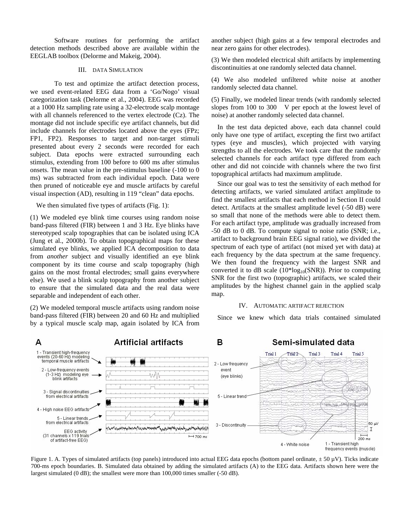Software routines for performing the artifact detection methods described above are available within the EEGLAB toolbox (Delorme and Makeig, 2004).

## III. DATA SIMULATION

To test and optimize the artifact detection process, we used event-related EEG data from a 'Go/Nogo' visual categorization task (Delorme et al., 2004). EEG was recorded at a 1000 Hz sampling rate using a 32-electrode scalp montage with all channels referenced to the vertex electrode (Cz). The montage did not include specific eye artifact channels, but did include channels for electrodes located above the eyes (FPz; FP1, FP2). Responses to target and non-target stimuli presented about every 2 seconds were recorded for each subject. Data epochs were extracted surrounding each stimulus, extending from 100 before to 600 ms after stimulus onsets. The mean value in the pre-stimulus baseline (-100 to 0 ms) was subtracted from each individual epoch. Data were then pruned of noticeable eye and muscle artifacts by careful visual inspection (AD), resulting in 119 "clean" data epochs.

# We then simulated five types of artifacts (Fig. 1):

(1) We modeled eye blink time courses using random noise band-pass filtered (FIR) between 1 and 3 Hz. Eye blinks have stereotyped scalp topographies that can be isolated using ICA (Jung et al., 2000b). To obtain topographical maps for these simulated eye blinks, we applied ICA decomposition to data from *another* subject and visually identified an eye blink component by its time course and scalp topography (high gains on the most frontal electrodes; small gains everywhere else). We used a blink scalp topography from another subject to ensure that the simulated data and the real data were separable and independent of each other.

(2) We modeled temporal muscle artifacts using random noise band-pass filtered (FIR) between 20 and 60 Hz and multiplied by a typical muscle scalp map, again isolated by ICA from another subject (high gains at a few temporal electrodes and near zero gains for other electrodes).

(3) We then modeled electrical shift artifacts by implementing discontinuities at one randomly selected data channel.

(4) We also modeled unfiltered white noise at another randomly selected data channel.

(5) Finally, we modeled linear trends (with randomly selected slopes from 100 to 300 V per epoch at the lowest level of noise) at another randomly selected data channel.

 In the test data depicted above, each data channel could only have one type of artifact, excepting the first two artifact types (eye and muscles), which projected with varying strengths to all the electrodes. We took care that the randomly selected channels for each artifact type differed from each other and did not coincide with channels where the two first topographical artifacts had maximum amplitude.

 Since our goal was to test the sensitivity of each method for detecting artifacts, we varied simulated artifact amplitude to find the smallest artifacts that each method in Section II could detect. Artifacts at the smallest amplitude level (-50 dB) were so small that none of the methods were able to detect them. For each artifact type, amplitude was gradually increased from -50 dB to 0 dB. To compute signal to noise ratio (SNR; i.e., artifact to background brain EEG signal ratio), we divided the spectrum of each type of artifact (not mixed yet with data) at each frequency by the data spectrum at the same frequency. We then found the frequency with the largest SNR and converted it to dB scale  $(10*log_{10}(SNR))$ . Prior to computing SNR for the first two (topographic) artifacts, we scaled their amplitudes by the highest channel gain in the applied scalp map.

## IV. AUTOMATIC ARTIFACT REJECTION

Since we knew which data trials contained simulated



Figure 1. A. Types of simulated artifacts (top panels) introduced into actual EEG data epochs (bottom panel ordinate,  $\pm 50 \mu V$ ). Ticks indicate 700-ms epoch boundaries. B. Simulated data obtained by adding the simulated artifacts (A) to the EEG data. Artifacts shown here were the largest simulated (0 dB); the smallest were more than 100,000 times smaller (-50 dB).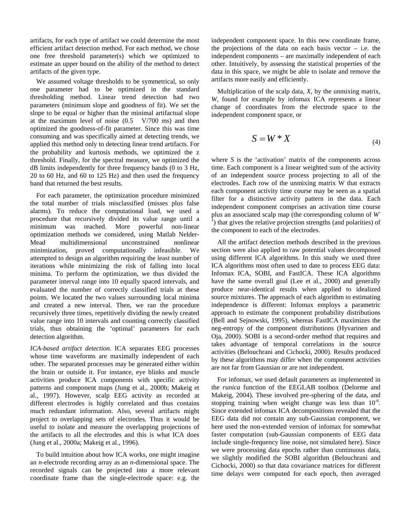artifacts, for each type of artifact we could determine the most efficient artifact detection method. For each method, we chose one free threshold parameter(s) which we optimized to estimate an upper bound on the ability of the method to detect artifacts of the given type.

 We assumed voltage thresholds to be symmetrical, so only one parameter had to be optimized in the standard thresholding method. Linear trend detection had two parameters (minimum slope and goodness of fit). We set the slope to be equal or higher than the minimal artifactual slope at the maximum level of noise (0.5 V/700 ms) and then optimized the goodness-of-fit parameter. Since this was time consuming and was specifically aimed at detecting trends, we applied this method only to detecting linear trend artifacts. For the probability and kurtosis methods, we optimized the z threshold. Finally, for the spectral measure, we optimized the dB limits independently for three frequency bands (0 to 3 Hz, 20 to 60 Hz, and 60 to 125 Hz) and then used the frequency band that returned the best results.

 For each parameter, the optimization procedure minimized the total number of trials misclassified (misses plus false alarms). To reduce the computational load, we used a procedure that recursively divided its value range until a minimum was reached. More powerful non-linear optimization methods we considered, using Matlab Nelder-Mead multidimensional unconstrained nonlinear minimization, proved computationally infeasible. We attempted to design an algorithm requiring the least number of iterations while minimizing the risk of falling into local minima. To perform the optimization, we thus divided the parameter interval range into 10 equally spaced intervals, and evaluated the number of correctly classified trials at these points. We located the two values surrounding local minima and created a new interval. Then, we ran the procedure recursively three times, repetitively dividing the newly created value range into 10 intervals and counting correctly classified trials, thus obtaining the 'optimal' parameters for each detection algorithm.

*ICA-based artifact detection.* ICA separates EEG processes whose time waveforms are maximally independent of each other. The separated processes may be generated either within the brain or outside it. For instance, eye blinks and muscle activities produce ICA components with specific activity patterns and component maps (Jung et al., 2000b; Makeig et al., 1997). However, scalp EEG activity as recorded at different electrodes is highly correlated and thus contains much redundant information. Also, several artifacts might project to overlapping sets of electrodes. Thus it would be useful to isolate and measure the overlapping projections of the artifacts to all the electrodes and this is what ICA does (Jung et al., 2000a; Makeig et al., 1996).

 To build intuition about how ICA works, one might imagine an *n-*electrode recording array as an *n-*dimensional space. The recorded signals can be projected into a more relevant coordinate frame than the single-electrode space: e.g. the

independent component space. In this new coordinate frame, the projections of the data on each basis vector  $-$  i.e. the independent components – are maximally independent of each other. Intuitively, by assessing the statistical properties of the data in this space, we might be able to isolate and remove the artifacts more easily and efficiently.

 Multiplication of the scalp data, *X,* by the unmixing matrix, *W*, found for example by infomax ICA represents a linear change of coordinates from the electrode space to the independent component space, or

$$
S = W^* X \tag{4}
$$

where *S* is the 'activation' matrix of the components across time. Each component is a linear weighted sum of the activity of an independent source process projecting to all of the electrodes. Each row of the unmixing matrix W that extracts each component activity time course may be seen as a spatial filter for a distinctive activity pattern in the data. Each independent component comprises an activation time course plus an associated scalp map (the corresponding column of *W-*<sup>1</sup>) that gives the relative projection strengths (and polarities) of the component to each of the electrodes.

 All the artifact detection methods described in the previous section were also applied to raw potential values decomposed using different ICA algorithms. In this study we used three ICA algorithms most often used to date to process EEG data: Infomax ICA, SOBI, and FastICA. These ICA algorithms have the same overall goal (Lee et al., 2000) and generally produce near-identical results when applied to idealized source mixtures. The approach of each algorithm to estimating independence is different: Infomax employs a parametric approach to estimate the component probability distributions (Bell and Sejnowski, 1995), whereas FastICA maximizes the neg-entropy of the component distributions (Hyvarinen and Oja, 2000). SOBI is a second-order method that requires and takes advantage of temporal correlations in the source activities (Belouchrani and Cichocki, 2000). Results produced by these algorithms may differ when the component activities are not far from Gaussian or are not independent.

 For infomax, we used default parameters as implemented in the *runica* function of the EEGLAB toolbox (Delorme and Makeig, 2004). These involved pre-sphering of the data, and stopping training when weight change was less than  $10^{-6}$ . Since extended infomax ICA decompositions revealed that the EEG data did not contain any sub-Gaussian component, we here used the non-extended version of infomax for somewhat faster computation (sub-Gaussian components of EEG data include single-frequency line noise, not simulated here). Since we were processing data epochs rather than continuous data, we slightly modified the SOBI algorithm (Belouchrani and Cichocki, 2000) so that data covariance matrices for different time delays were computed for each epoch, then averaged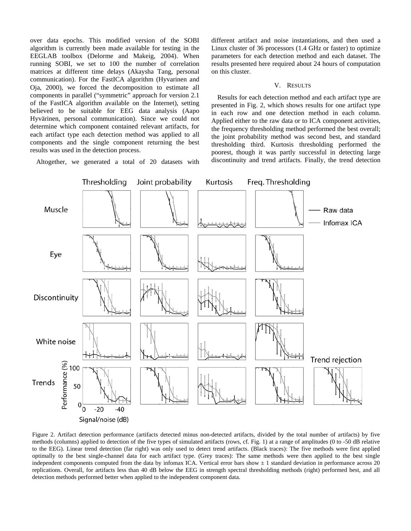over data epochs. This modified version of the SOBI algorithm is currently been made available for testing in the EEGLAB toolbox (Delorme and Makeig, 2004). When running SOBI, we set to 100 the number of correlation matrices at different time delays (Akaysha Tang, personal communication). For the FastICA algorithm (Hyvarinen and Oja, 2000), we forced the decomposition to estimate all components in parallel ("symmetric" approach for version 2.1 of the FastICA algorithm available on the Internet), setting believed to be suitable for EEG data analysis (Aapo Hyvärinen, personal communication). Since we could not determine which component contained relevant artifacts, for each artifact type each detection method was applied to all components and the single component returning the best results was used in the detection process.

Altogether, we generated a total of 20 datasets with

different artifact and noise instantiations, and then used a Linux cluster of 36 processors (1.4 GHz or faster) to optimize parameters for each detection method and each dataset. The results presented here required about 24 hours of computation on this cluster.

## V. RESULTS

 Results for each detection method and each artifact type are presented in Fig. 2, which shows results for one artifact type in each row and one detection method in each column. Applied either to the raw data or to ICA component activities, the frequency thresholding method performed the best overall; the joint probability method was second best, and standard thresholding third. Kurtosis thresholding performed the poorest, though it was partly successful in detecting large discontinuity and trend artifacts. Finally, the trend detection



Figure 2. Artifact detection performance (artifacts detected minus non-detected artifacts, divided by the total number of artifacts) by five methods (columns) applied to detection of the five types of simulated artifacts (rows, cf. Fig. 1) at a range of amplitudes (0 to -50 dB relative to the EEG). Linear trend detection (far right) was only used to detect trend artifacts. (Black traces): The five methods were first applied optimally to the best single-channel data for each artifact type. (Grey traces): The same methods were then applied to the best single independent components computed from the data by infomax ICA. Vertical error bars show  $\pm 1$  standard deviation in performance across 20 replications. Overall, for artifacts less than 40 dB below the EEG in strength spectral thresholding methods (right) performed best, and all detection methods performed better when applied to the independent component data.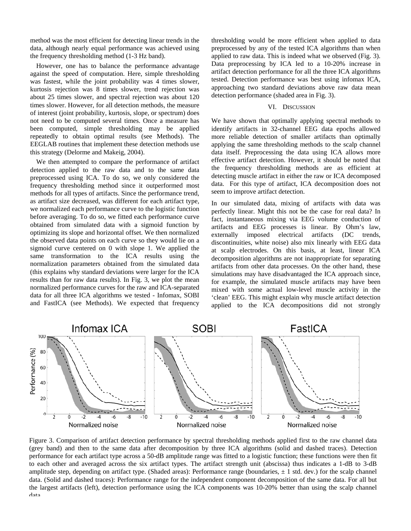method was the most efficient for detecting linear trends in the data, although nearly equal performance was achieved using the frequency thresholding method (1-3 Hz band).

 However, one has to balance the performance advantage against the speed of computation. Here, simple thresholding was fastest, while the joint probability was 4 times slower, kurtosis rejection was 8 times slower, trend rejection was about 25 times slower, and spectral rejection was about 120 times slower. However, for all detection methods, the measure of interest (joint probability, kurtosis, slope, or spectrum) does not need to be computed several times. Once a measure has been computed, simple thresholding may be applied repeatedly to obtain optimal results (see Methods). The EEGLAB routines that implement these detection methods use this strategy (Delorme and Makeig, 2004).

 We then attempted to compare the performance of artifact detection applied to the raw data and to the same data preprocessed using ICA. To do so, we only considered the frequency thresholding method since it outperformed most methods for all types of artifacts. Since the performance trend, as artifact size decreased, was different for each artifact type, we normalized each performance curve to the logistic function before averaging. To do so, we fitted each performance curve obtained from simulated data with a sigmoid function by optimizing its slope and horizontal offset. We then normalized the observed data points on each curve so they would lie on a sigmoid curve centered on 0 with slope 1. We applied the same transformation to the ICA results using the normalization parameters obtained from the simulated data (this explains why standard deviations were larger for the ICA results than for raw data results). In Fig. 3, we plot the mean normalized performance curves for the raw and ICA-separated data for all three ICA algorithms we tested - Infomax, SOBI and FastICA (see Methods). We expected that frequency

thresholding would be more efficient when applied to data preprocessed by any of the tested ICA algorithms than when applied to raw data. This is indeed what we observed (Fig. 3). Data preprocessing by ICA led to a 10-20% increase in artifact detection performance for all the three ICA algorithms tested. Detection performance was best using infomax ICA, approaching two standard deviations above raw data mean detection performance (shaded area in Fig. 3).

# VI. DISCUSSION

We have shown that optimally applying spectral methods to identify artifacts in 32-channel EEG data epochs allowed more reliable detection of smaller artifacts than optimally applying the same thresholding methods to the scalp channel data itself. Preprocessing the data using ICA allows more effective artifact detection. However, it should be noted that the frequency thresholding methods are as efficient at detecting muscle artifact in either the raw or ICA decomposed data. For this type of artifact, ICA decomposition does not seem to improve artifact detection.

In our simulated data, mixing of artifacts with data was perfectly linear. Might this not be the case for real data? In fact, instantaneous mixing via EEG volume conduction of artifacts and EEG processes is linear. By Ohm's law, externally imposed electrical artifacts (DC trends, discontinuities, white noise) also mix linearly with EEG data at scalp electrodes. On this basis, at least, linear ICA decomposition algorithms are not inappropriate for separating artifacts from other data processes. On the other hand, these simulations may have disadvantaged the ICA approach since, for example, the simulated muscle artifacts may have been mixed with some actual low-level muscle activity in the 'clean' EEG. This might explain why muscle artifact detection applied to the ICA decompositions did not strongly



Figure 3. Comparison of artifact detection performance by spectral thresholding methods applied first to the raw channel data (grey band) and then to the same data after decomposition by three ICA algorithms (solid and dashed traces). Detection performance for each artifact type across a 50-dB amplitude range was fitted to a logistic function; these functions were then fit to each other and averaged across the six artifact types. The artifact strength unit (abscissa) thus indicates a 1-dB to 3-dB amplitude step, depending on artifact type. (Shaded areas): Performance range (boundaries,  $\pm$  1 std. dev.) for the scalp channel data. (Solid and dashed traces): Performance range for the independent component decomposition of the same data. For all but the largest artifacts (left), detection performance using the ICA components was 10-20% better than using the scalp channel data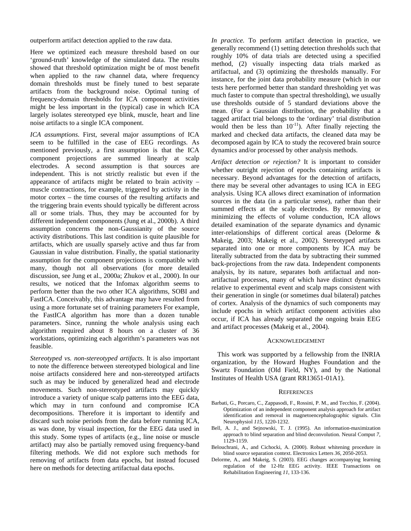outperform artifact detection applied to the raw data.

Here we optimized each measure threshold based on our 'ground-truth' knowledge of the simulated data. The results showed that threshold optimization might be of most benefit when applied to the raw channel data, where frequency domain thresholds must be finely tuned to best separate artifacts from the background noise. Optimal tuning of frequency-domain thresholds for ICA component activities might be less important in the (typical) case in which ICA largely isolates stereotyped eye blink, muscle, heart and line noise artifacts to a single ICA component.

*ICA assumptions*. First, several major assumptions of ICA seem to be fulfilled in the case of EEG recordings. As mentioned previously, a first assumption is that the ICA component projections are summed linearly at scalp electrodes. A second assumption is that sources are independent. This is not strictly realistic but even if the appearance of artifacts might be related to brain activity – muscle contractions, for example, triggered by activity in the motor cortex – the time courses of the resulting artifacts and the triggering brain events should typically be different across all or some trials. Thus, they may be accounted for by different independent components (Jung et al., 2000b). A third assumption concerns the non-Gaussianity of the source activity distributions. This last condition is quite plausible for artifacts, which are usually sparsely active and thus far from Gaussian in value distribution. Finally, the spatial stationarity assumption for the component projections is compatible with many, though not all observations (for more detailed discussion, see Jung et al., 2000a; Zhukov et al., 2000). In our results, we noticed that the Infomax algorithm seems to perform better than the two other ICA algorithms, SOBI and FastICA. Conceivably, this advantage may have resulted from using a more fortunate set of training parameters For example, the FastICA algorithm has more than a dozen tunable parameters. Since, running the whole analysis using each algorithm required about 8 hours on a cluster of 36 workstations, optimizing each algorithm's parameters was not feasible.

*Stereotyped vs. non-stereotyped artifacts.* It is also important to note the difference between stereotyped biological and line noise artifacts considered here and non-stereotyped artifacts such as may be induced by generalized head and electrode movements. Such non-stereotyped artifacts may quickly introduce a variety of unique scalp patterns into the EEG data, which may in turn confound and compromise ICA decompositions. Therefore it is important to identify and discard such noise periods from the data before running ICA, as was done, by visual inspection, for the EEG data used in this study. Some types of artifacts (e.g., line noise or muscle artifact) may also be partially removed using frequency-band filtering methods. We did not explore such methods for removing of artifacts from data epochs, but instead focused here on methods for detecting artifactual data epochs.

*In practice.* To perform artifact detection in practice, we generally recommend (1) setting detection thresholds such that roughly 10% of data trials are detected using a specified method, (2) visually inspecting data trials marked as artifactual, and (3) optimizing the thresholds manually. For instance, for the joint data probability measure (which in our tests here performed better than standard thresholding yet was much faster to compute than spectral thresholding), we usually use thresholds outside of 5 standard deviations above the mean. (For a Gaussian distribution, the probability that a tagged artifact trial belongs to the 'ordinary' trial distribution would then be less than  $10^{-11}$ ). After finally rejecting the marked and checked data artifacts, the cleaned data may be decomposed again by ICA to study the recovered brain source dynamics and/or processed by other analysis methods.

*Artifact detection or rejection?* It is important to consider whether outright rejection of epochs containing artifacts is necessary. Beyond advantages for the detection of artifacts, there may be several other advantages to using ICA in EEG analysis. Using ICA allows direct examination of information sources in the data (in a particular sense), rather than their summed effects at the scalp electrodes. By removing or minimizing the effects of volume conduction, ICA allows detailed examination of the separate dynamics and dynamic inter-relationships of different cortical areas (Delorme & Makeig, 2003; Makeig et al., 2002). Stereotyped artifacts separated into one or more components by ICA may be literally subtracted from the data by subtracting their summed back-projections from the raw data. Independent components analysis, by its nature, separates both artifactual and nonartifactual processes, many of which have distinct dynamics relative to experimental event and scalp maps consistent with their generation in single (or sometimes dual bilateral) patches of cortex. Analysis of the dynamics of such components may include epochs in which artifact component activities also occur, if ICA has already separated the ongoing brain EEG and artifact processes (Makeig et al., 2004).

#### ACKNOWLEDGEMENT

 This work was supported by a fellowship from the INRIA organization, by the Howard Hughes Foundation and the Swartz Foundation (Old Field, NY), and by the National Institutes of Health USA (grant RR13651-01A1).

#### **REFERENCES**

- Barbati, G., Porcaro, C., Zappasodi, F., Rossini, P. M., and Tecchio, F. (2004). Optimization of an independent component analysis approach for artifact identification and removal in magnetoencephalographic signals. Clin Neurophysiol *115*, 1220-1232.
- Bell, A. J., and Sejnowski, T. J. (1995). An information-maximization approach to blind separation and blind deconvolution. Neural Comput *7*, 1129-1159.
- Belouchrani, A., and Cichocki, A. (2000). Robust whitening procedure in blind source separation context. Electronics Letters *36*, 2050-2053.
- Delorme, A., and Makeig, S. (2003). EEG changes accompanying learning regulation of the 12-Hz EEG activity. IEEE Transactions on Rehabilitation Engineering *11*, 133-136.